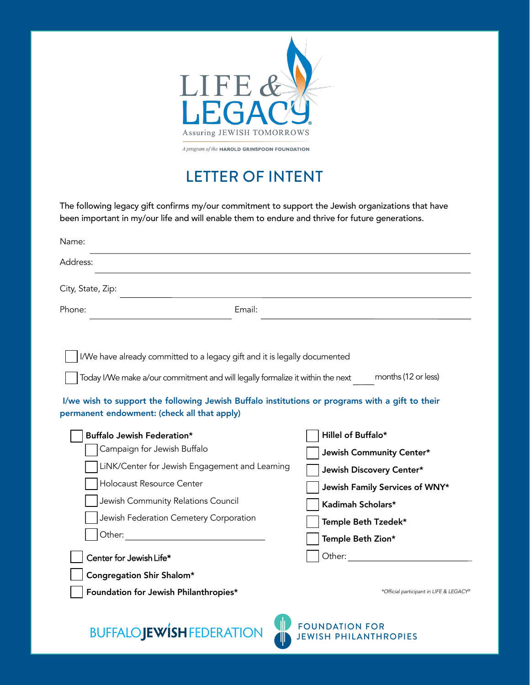

## LETTER OF INTENT

The following legacy gift confirms my/our commitment to support the Jewish organizations that have been important in my/our life and will enable them to endure and thrive for future generations.

| Name:                                                                            |                                                                                                                                                                                                                                                                                                                                                                                                                                                                                       |                                                                                                                                                                                                                                                                                                                                                                                                                 |  |  |
|----------------------------------------------------------------------------------|---------------------------------------------------------------------------------------------------------------------------------------------------------------------------------------------------------------------------------------------------------------------------------------------------------------------------------------------------------------------------------------------------------------------------------------------------------------------------------------|-----------------------------------------------------------------------------------------------------------------------------------------------------------------------------------------------------------------------------------------------------------------------------------------------------------------------------------------------------------------------------------------------------------------|--|--|
| Address:                                                                         |                                                                                                                                                                                                                                                                                                                                                                                                                                                                                       |                                                                                                                                                                                                                                                                                                                                                                                                                 |  |  |
| City, State, Zip:                                                                |                                                                                                                                                                                                                                                                                                                                                                                                                                                                                       |                                                                                                                                                                                                                                                                                                                                                                                                                 |  |  |
| Phone:                                                                           | Email:                                                                                                                                                                                                                                                                                                                                                                                                                                                                                |                                                                                                                                                                                                                                                                                                                                                                                                                 |  |  |
|                                                                                  | I/We have already committed to a legacy gift and it is legally documented<br>Today I/We make a/our commitment and will legally formalize it within the next<br>I/we wish to support the following Jewish Buffalo institutions or programs with a gift to their<br>permanent endowment: (check all that apply)                                                                                                                                                                         | months (12 or less)                                                                                                                                                                                                                                                                                                                                                                                             |  |  |
|                                                                                  | Buffalo Jewish Federation*<br>Campaign for Jewish Buffalo<br>LiNK/Center for Jewish Engagement and Learning<br>Holocaust Resource Center<br>Jewish Community Relations Council<br>Jewish Federation Cemetery Corporation<br>Other: and the contract of the contract of the contract of the contract of the contract of the contract of the contract of the contract of the contract of the contract of the contract of the contract of the contract of the<br>Center for Jewish Life* | Hillel of Buffalo*<br>Jewish Community Center*<br>Jewish Discovery Center*<br>Jewish Family Services of WNY*<br>Kadimah Scholars*<br>Temple Beth Tzedek*<br>Temple Beth Zion*<br>Other: and the control of the control of the control of the control of the control of the control of the control of the control of the control of the control of the control of the control of the control of the control of t |  |  |
| Congregation Shir Shalom*                                                        |                                                                                                                                                                                                                                                                                                                                                                                                                                                                                       |                                                                                                                                                                                                                                                                                                                                                                                                                 |  |  |
| Foundation for Jewish Philanthropies*<br>*Official participant in LIFE & LEGACY® |                                                                                                                                                                                                                                                                                                                                                                                                                                                                                       |                                                                                                                                                                                                                                                                                                                                                                                                                 |  |  |

**FOUNDATION FOR** 

**JEWISH PHILANTHROPIES** 

**BUFFALOJEWISH FEDERATION**